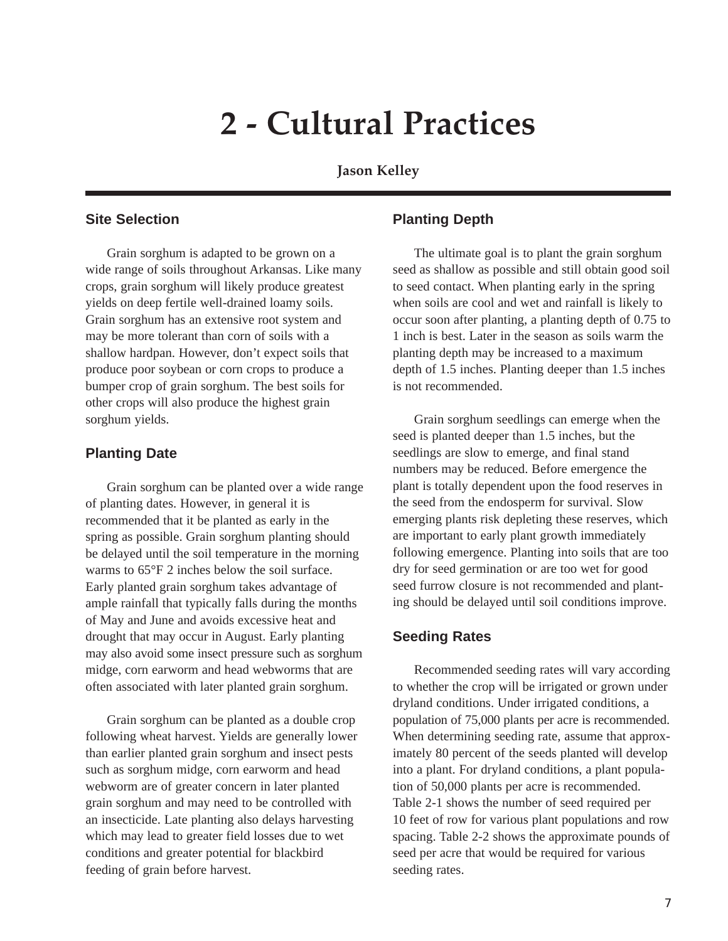# **2 - Cultural Practices**

**Jason Kelley** 

## **Site Selection**

Grain sorghum is adapted to be grown on a wide range of soils throughout Arkansas. Like many crops, grain sorghum will likely produce greatest yields on deep fertile well-drained loamy soils. Grain sorghum has an extensive root system and may be more tolerant than corn of soils with a shallow hardpan. However, don't expect soils that produce poor soybean or corn crops to produce a bumper crop of grain sorghum. The best soils for other crops will also produce the highest grain sorghum yields.

#### **Planting Date**

Grain sorghum can be planted over a wide range of planting dates. However, in general it is recommended that it be planted as early in the spring as possible. Grain sorghum planting should be delayed until the soil temperature in the morning warms to 65°F 2 inches below the soil surface. Early planted grain sorghum takes advantage of ample rainfall that typically falls during the months of May and June and avoids excessive heat and drought that may occur in August. Early planting may also avoid some insect pressure such as sorghum midge, corn earworm and head webworms that are often associated with later planted grain sorghum.

Grain sorghum can be planted as a double crop following wheat harvest. Yields are generally lower than earlier planted grain sorghum and insect pests such as sorghum midge, corn earworm and head webworm are of greater concern in later planted grain sorghum and may need to be controlled with an insecticide. Late planting also delays harvesting which may lead to greater field losses due to wet conditions and greater potential for blackbird feeding of grain before harvest.

#### **Planting Depth**

The ultimate goal is to plant the grain sorghum seed as shallow as possible and still obtain good soil to seed contact. When planting early in the spring when soils are cool and wet and rainfall is likely to occur soon after planting, a planting depth of 0.75 to 1 inch is best. Later in the season as soils warm the planting depth may be increased to a maximum depth of 1.5 inches. Planting deeper than 1.5 inches is not recommended.

Grain sorghum seedlings can emerge when the seed is planted deeper than 1.5 inches, but the seedlings are slow to emerge, and final stand numbers may be reduced. Before emergence the plant is totally dependent upon the food reserves in the seed from the endosperm for survival. Slow emerging plants risk depleting these reserves, which are important to early plant growth immediately following emergence. Planting into soils that are too dry for seed germination or are too wet for good seed furrow closure is not recommended and planting should be delayed until soil conditions improve.

#### **Seeding Rates**

Recommended seeding rates will vary according to whether the crop will be irrigated or grown under dryland conditions. Under irrigated conditions, a population of 75,000 plants per acre is recommended. When determining seeding rate, assume that approximately 80 percent of the seeds planted will develop into a plant. For dryland conditions, a plant population of 50,000 plants per acre is recommended. Table 2-1 shows the number of seed required per 10 feet of row for various plant populations and row spacing. Table 2-2 shows the approximate pounds of seed per acre that would be required for various seeding rates.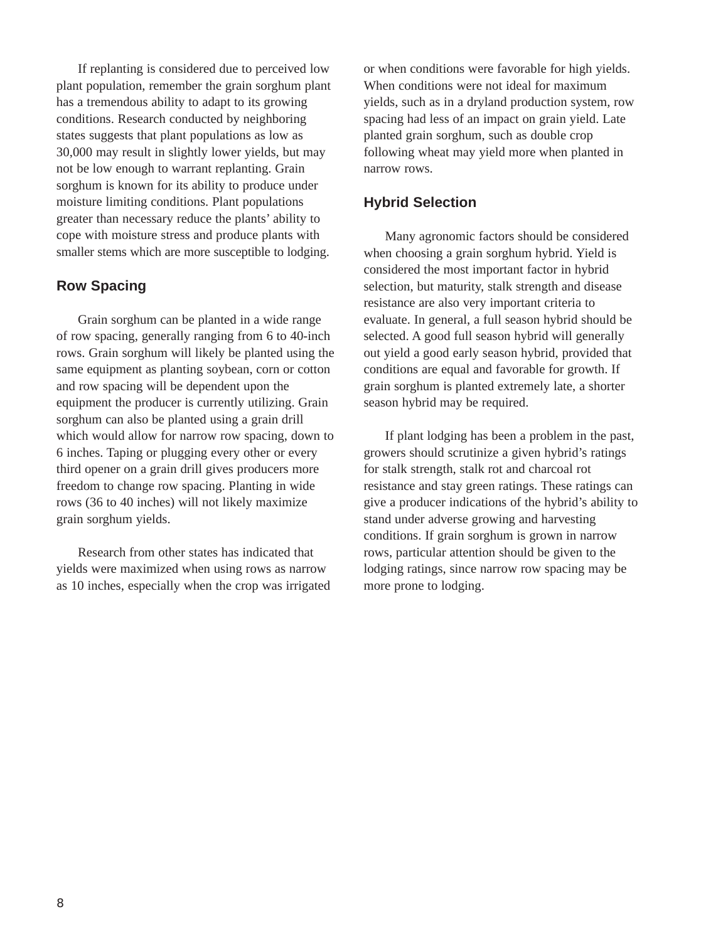If replanting is considered due to perceived low plant population, remember the grain sorghum plant has a tremendous ability to adapt to its growing conditions. Research conducted by neighboring states suggests that plant populations as low as 30,000 may result in slightly lower yields, but may not be low enough to warrant replanting. Grain sorghum is known for its ability to produce under moisture limiting conditions. Plant populations greater than necessary reduce the plants' ability to cope with moisture stress and produce plants with smaller stems which are more susceptible to lodging.

### **Row Spacing**

Grain sorghum can be planted in a wide range of row spacing, generally ranging from 6 to 40-inch rows. Grain sorghum will likely be planted using the same equipment as planting soybean, corn or cotton and row spacing will be dependent upon the equipment the producer is currently utilizing. Grain sorghum can also be planted using a grain drill which would allow for narrow row spacing, down to 6 inches. Taping or plugging every other or every third opener on a grain drill gives producers more freedom to change row spacing. Planting in wide rows (36 to 40 inches) will not likely maximize grain sorghum yields.

Research from other states has indicated that yields were maximized when using rows as narrow as 10 inches, especially when the crop was irrigated

or when conditions were favorable for high yields. When conditions were not ideal for maximum yields, such as in a dryland production system, row spacing had less of an impact on grain yield. Late planted grain sorghum, such as double crop following wheat may yield more when planted in narrow rows.

#### **Hybrid Selection**

Many agronomic factors should be considered when choosing a grain sorghum hybrid. Yield is considered the most important factor in hybrid selection, but maturity, stalk strength and disease resistance are also very important criteria to evaluate. In general, a full season hybrid should be selected. A good full season hybrid will generally out yield a good early season hybrid, provided that conditions are equal and favorable for growth. If grain sorghum is planted extremely late, a shorter season hybrid may be required.

If plant lodging has been a problem in the past, growers should scrutinize a given hybrid's ratings for stalk strength, stalk rot and charcoal rot resistance and stay green ratings. These ratings can give a producer indications of the hybrid's ability to stand under adverse growing and harvesting conditions. If grain sorghum is grown in narrow rows, particular attention should be given to the lodging ratings, since narrow row spacing may be more prone to lodging.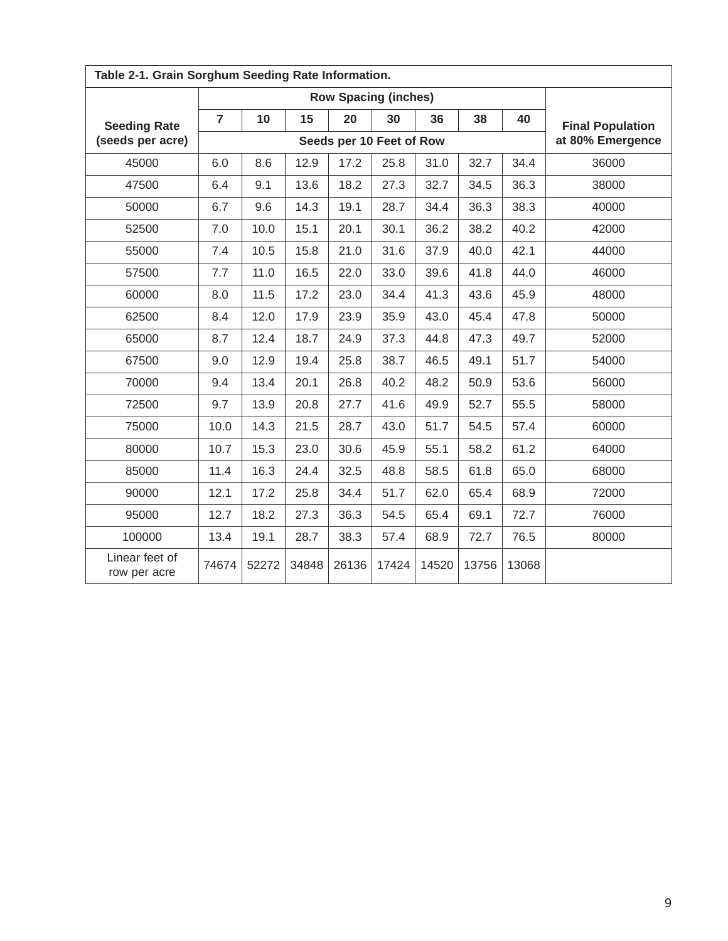| Table 2-1. Grain Sorghum Seeding Rate Information. |                             |       |                  |       |       |       |       |       |                         |
|----------------------------------------------------|-----------------------------|-------|------------------|-------|-------|-------|-------|-------|-------------------------|
|                                                    | <b>Row Spacing (inches)</b> |       |                  |       |       |       |       |       |                         |
| <b>Seeding Rate</b>                                | $\overline{7}$              | 10    | 15               | 20    | 30    | 36    | 38    | 40    | <b>Final Population</b> |
| (seeds per acre)                                   |                             |       | at 80% Emergence |       |       |       |       |       |                         |
| 45000                                              | 6.0                         | 8.6   | 12.9             | 17.2  | 25.8  | 31.0  | 32.7  | 34.4  | 36000                   |
| 47500                                              | 6.4                         | 9.1   | 13.6             | 18.2  | 27.3  | 32.7  | 34.5  | 36.3  | 38000                   |
| 50000                                              | 6.7                         | 9.6   | 14.3             | 19.1  | 28.7  | 34.4  | 36.3  | 38.3  | 40000                   |
| 52500                                              | 7.0                         | 10.0  | 15.1             | 20.1  | 30.1  | 36.2  | 38.2  | 40.2  | 42000                   |
| 55000                                              | 7.4                         | 10.5  | 15.8             | 21.0  | 31.6  | 37.9  | 40.0  | 42.1  | 44000                   |
| 57500                                              | 7.7                         | 11.0  | 16.5             | 22.0  | 33.0  | 39.6  | 41.8  | 44.0  | 46000                   |
| 60000                                              | 8.0                         | 11.5  | 17.2             | 23.0  | 34.4  | 41.3  | 43.6  | 45.9  | 48000                   |
| 62500                                              | 8.4                         | 12.0  | 17.9             | 23.9  | 35.9  | 43.0  | 45.4  | 47.8  | 50000                   |
| 65000                                              | 8.7                         | 12.4  | 18.7             | 24.9  | 37.3  | 44.8  | 47.3  | 49.7  | 52000                   |
| 67500                                              | 9.0                         | 12.9  | 19.4             | 25.8  | 38.7  | 46.5  | 49.1  | 51.7  | 54000                   |
| 70000                                              | 9.4                         | 13.4  | 20.1             | 26.8  | 40.2  | 48.2  | 50.9  | 53.6  | 56000                   |
| 72500                                              | 9.7                         | 13.9  | 20.8             | 27.7  | 41.6  | 49.9  | 52.7  | 55.5  | 58000                   |
| 75000                                              | 10.0                        | 14.3  | 21.5             | 28.7  | 43.0  | 51.7  | 54.5  | 57.4  | 60000                   |
| 80000                                              | 10.7                        | 15.3  | 23.0             | 30.6  | 45.9  | 55.1  | 58.2  | 61.2  | 64000                   |
| 85000                                              | 11.4                        | 16.3  | 24.4             | 32.5  | 48.8  | 58.5  | 61.8  | 65.0  | 68000                   |
| 90000                                              | 12.1                        | 17.2  | 25.8             | 34.4  | 51.7  | 62.0  | 65.4  | 68.9  | 72000                   |
| 95000                                              | 12.7                        | 18.2  | 27.3             | 36.3  | 54.5  | 65.4  | 69.1  | 72.7  | 76000                   |
| 100000                                             | 13.4                        | 19.1  | 28.7             | 38.3  | 57.4  | 68.9  | 72.7  | 76.5  | 80000                   |
| Linear feet of<br>row per acre                     | 74674                       | 52272 | 34848            | 26136 | 17424 | 14520 | 13756 | 13068 |                         |